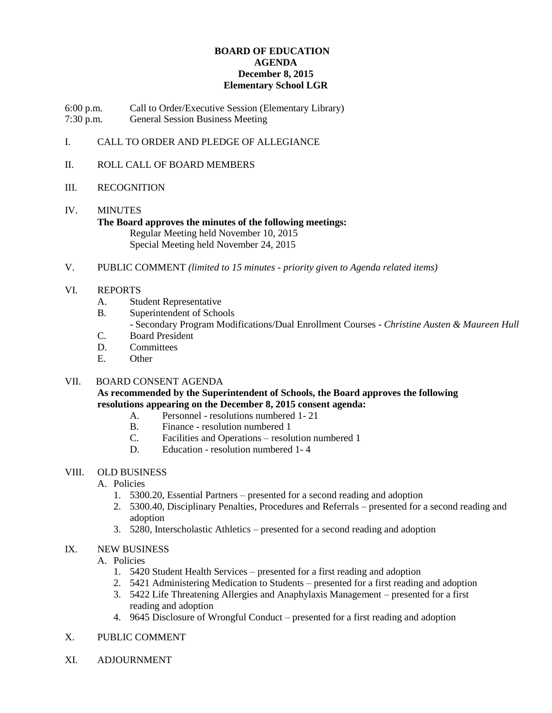### **BOARD OF EDUCATION AGENDA December 8, 2015 Elementary School LGR**

6:00 p.m. Call to Order/Executive Session (Elementary Library) 7:30 p.m. General Session Business Meeting

## I. CALL TO ORDER AND PLEDGE OF ALLEGIANCE

II. ROLL CALL OF BOARD MEMBERS

#### III. RECOGNITION

# IV. MINUTES

#### **The Board approves the minutes of the following meetings:** Regular Meeting held November 10, 2015 Special Meeting held November 24, 2015

V. PUBLIC COMMENT *(limited to 15 minutes - priority given to Agenda related items)*

#### VI. REPORTS

- A. Student Representative
- B. Superintendent of Schools
	- Secondary Program Modifications/Dual Enrollment Courses *Christine Austen & Maureen Hull*
- C. Board President
- D. Committees
- E. Other

#### VII. BOARD CONSENT AGENDA

### **As recommended by the Superintendent of Schools, the Board approves the following resolutions appearing on the December 8, 2015 consent agenda:**

- A. Personnel resolutions numbered 1- 21
- B. Finance resolution numbered 1
- C. Facilities and Operations resolution numbered 1
- D. Education resolution numbered 1- 4

#### VIII. OLD BUSINESS

- A. Policies
	- 1. 5300.20, Essential Partners presented for a second reading and adoption
	- 2. 5300.40, Disciplinary Penalties, Procedures and Referrals presented for a second reading and adoption
	- 3. 5280, Interscholastic Athletics presented for a second reading and adoption

#### IX. NEW BUSINESS

A. Policies

- 1. 5420 Student Health Services presented for a first reading and adoption
- 2. 5421 Administering Medication to Students presented for a first reading and adoption
- 3. 5422 Life Threatening Allergies and Anaphylaxis Management presented for a first reading and adoption
- 4. 9645 Disclosure of Wrongful Conduct presented for a first reading and adoption
- X. PUBLIC COMMENT
- XI. ADJOURNMENT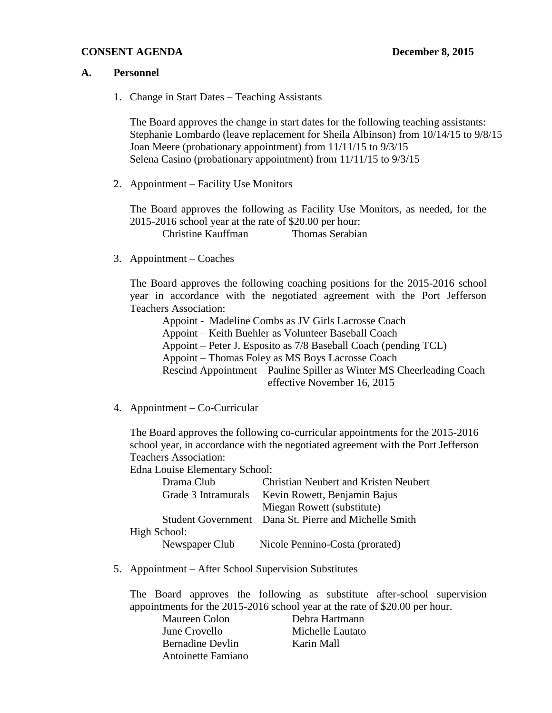## **CONSENT AGENDA December 8, 2015**

#### **A. Personnel**

1. Change in Start Dates – Teaching Assistants

The Board approves the change in start dates for the following teaching assistants: Stephanie Lombardo (leave replacement for Sheila Albinson) from 10/14/15 to 9/8/15 Joan Meere (probationary appointment) from 11/11/15 to 9/3/15 Selena Casino (probationary appointment) from 11/11/15 to 9/3/15

2. Appointment – Facility Use Monitors

The Board approves the following as Facility Use Monitors, as needed, for the 2015-2016 school year at the rate of \$20.00 per hour: Christine Kauffman Thomas Serabian

3. Appointment – Coaches

The Board approves the following coaching positions for the 2015-2016 school year in accordance with the negotiated agreement with the Port Jefferson Teachers Association:

Appoint - Madeline Combs as JV Girls Lacrosse Coach Appoint – Keith Buehler as Volunteer Baseball Coach Appoint – Peter J. Esposito as 7/8 Baseball Coach (pending TCL) Appoint – Thomas Foley as MS Boys Lacrosse Coach Rescind Appointment – Pauline Spiller as Winter MS Cheerleading Coach effective November 16, 2015

4. Appointment – Co-Curricular

The Board approves the following co-curricular appointments for the 2015-2016 school year, in accordance with the negotiated agreement with the Port Jefferson Teachers Association:

Edna Louise Elementary School:

| Drama Club          | <b>Christian Neubert and Kristen Neubert</b>          |
|---------------------|-------------------------------------------------------|
| Grade 3 Intramurals | Kevin Rowett, Benjamin Bajus                          |
|                     | Miegan Rowett (substitute)                            |
|                     | Student Government Dana St. Pierre and Michelle Smith |
| High School:        |                                                       |
| Newspaper Club      | Nicole Pennino-Costa (prorated)                       |

5. Appointment – After School Supervision Substitutes

The Board approves the following as substitute after-school supervision appointments for the 2015-2016 school year at the rate of \$20.00 per hour.

| Debra Hartmann   |
|------------------|
| Michelle Lautato |
| Karin Mall       |
|                  |
|                  |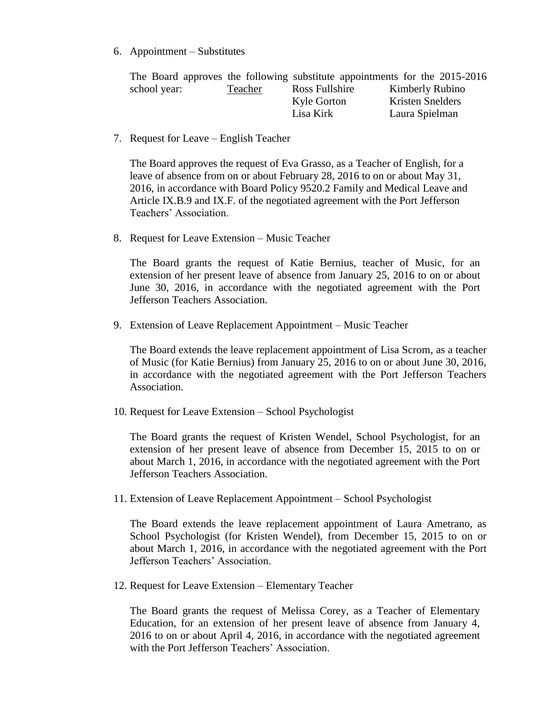6. Appointment – Substitutes

|              |         |                | The Board approves the following substitute appointments for the 2015-2016 |
|--------------|---------|----------------|----------------------------------------------------------------------------|
| school year: | Teacher | Ross Fullshire | Kimberly Rubino                                                            |
|              |         | Kyle Gorton    | <b>Kristen Snelders</b>                                                    |
|              |         | Lisa Kirk      | Laura Spielman                                                             |

7. Request for Leave – English Teacher

The Board approves the request of Eva Grasso, as a Teacher of English, for a leave of absence from on or about February 28, 2016 to on or about May 31, 2016, in accordance with Board Policy 9520.2 Family and Medical Leave and Article IX.B.9 and IX.F. of the negotiated agreement with the Port Jefferson Teachers' Association.

8. Request for Leave Extension – Music Teacher

The Board grants the request of Katie Bernius, teacher of Music, for an extension of her present leave of absence from January 25, 2016 to on or about June 30, 2016, in accordance with the negotiated agreement with the Port Jefferson Teachers Association.

9. Extension of Leave Replacement Appointment – Music Teacher

The Board extends the leave replacement appointment of Lisa Scrom, as a teacher of Music (for Katie Bernius) from January 25, 2016 to on or about June 30, 2016, in accordance with the negotiated agreement with the Port Jefferson Teachers Association.

10. Request for Leave Extension – School Psychologist

The Board grants the request of Kristen Wendel, School Psychologist, for an extension of her present leave of absence from December 15, 2015 to on or about March 1, 2016, in accordance with the negotiated agreement with the Port Jefferson Teachers Association.

11. Extension of Leave Replacement Appointment – School Psychologist

The Board extends the leave replacement appointment of Laura Ametrano, as School Psychologist (for Kristen Wendel), from December 15, 2015 to on or about March 1, 2016, in accordance with the negotiated agreement with the Port Jefferson Teachers' Association.

12. Request for Leave Extension – Elementary Teacher

The Board grants the request of Melissa Corey, as a Teacher of Elementary Education, for an extension of her present leave of absence from January 4, 2016 to on or about April 4, 2016, in accordance with the negotiated agreement with the Port Jefferson Teachers' Association.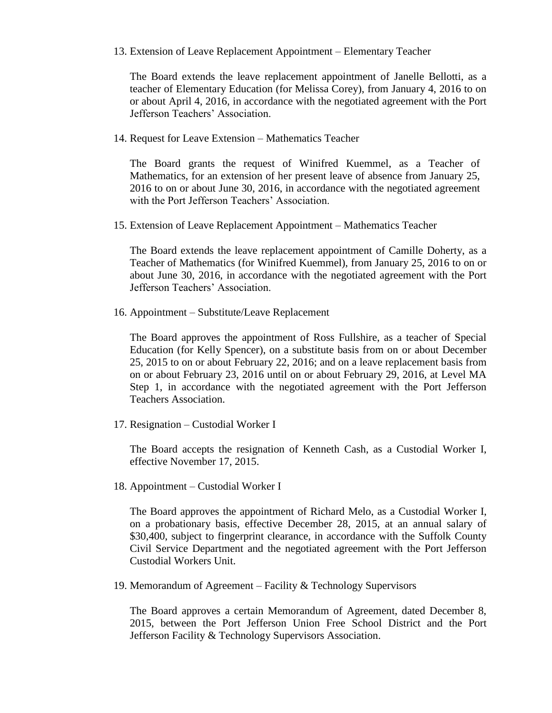13. Extension of Leave Replacement Appointment – Elementary Teacher

The Board extends the leave replacement appointment of Janelle Bellotti, as a teacher of Elementary Education (for Melissa Corey), from January 4, 2016 to on or about April 4, 2016, in accordance with the negotiated agreement with the Port Jefferson Teachers' Association.

14. Request for Leave Extension – Mathematics Teacher

The Board grants the request of Winifred Kuemmel, as a Teacher of Mathematics, for an extension of her present leave of absence from January 25, 2016 to on or about June 30, 2016, in accordance with the negotiated agreement with the Port Jefferson Teachers' Association.

15. Extension of Leave Replacement Appointment – Mathematics Teacher

The Board extends the leave replacement appointment of Camille Doherty, as a Teacher of Mathematics (for Winifred Kuemmel), from January 25, 2016 to on or about June 30, 2016, in accordance with the negotiated agreement with the Port Jefferson Teachers' Association.

16. Appointment – Substitute/Leave Replacement

The Board approves the appointment of Ross Fullshire, as a teacher of Special Education (for Kelly Spencer), on a substitute basis from on or about December 25, 2015 to on or about February 22, 2016; and on a leave replacement basis from on or about February 23, 2016 until on or about February 29, 2016, at Level MA Step 1, in accordance with the negotiated agreement with the Port Jefferson Teachers Association.

17. Resignation – Custodial Worker I

The Board accepts the resignation of Kenneth Cash, as a Custodial Worker I, effective November 17, 2015.

18. Appointment – Custodial Worker I

The Board approves the appointment of Richard Melo, as a Custodial Worker I, on a probationary basis, effective December 28, 2015, at an annual salary of \$30,400, subject to fingerprint clearance, in accordance with the Suffolk County Civil Service Department and the negotiated agreement with the Port Jefferson Custodial Workers Unit.

19. Memorandum of Agreement – Facility & Technology Supervisors

The Board approves a certain Memorandum of Agreement, dated December 8, 2015, between the Port Jefferson Union Free School District and the Port Jefferson Facility & Technology Supervisors Association.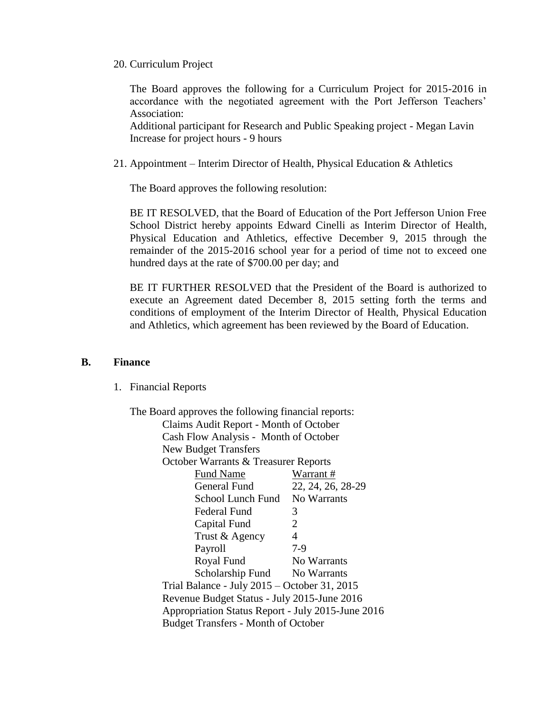20. Curriculum Project

The Board approves the following for a Curriculum Project for 2015-2016 in accordance with the negotiated agreement with the Port Jefferson Teachers' Association:

Additional participant for Research and Public Speaking project - Megan Lavin Increase for project hours - 9 hours

21. Appointment – Interim Director of Health, Physical Education & Athletics

The Board approves the following resolution:

BE IT RESOLVED, that the Board of Education of the Port Jefferson Union Free School District hereby appoints Edward Cinelli as Interim Director of Health, Physical Education and Athletics, effective December 9, 2015 through the remainder of the 2015-2016 school year for a period of time not to exceed one hundred days at the rate of \$700.00 per day; and

BE IT FURTHER RESOLVED that the President of the Board is authorized to execute an Agreement dated December 8, 2015 setting forth the terms and conditions of employment of the Interim Director of Health, Physical Education and Athletics, which agreement has been reviewed by the Board of Education.

#### **B. Finance**

1. Financial Reports

| The Board approves the following financial reports: |                   |  |  |  |
|-----------------------------------------------------|-------------------|--|--|--|
| Claims Audit Report - Month of October              |                   |  |  |  |
| Cash Flow Analysis - Month of October               |                   |  |  |  |
| <b>New Budget Transfers</b>                         |                   |  |  |  |
| October Warrants & Treasurer Reports                |                   |  |  |  |
| <b>Fund Name</b>                                    | Warrant#          |  |  |  |
| General Fund                                        | 22, 24, 26, 28-29 |  |  |  |
| School Lunch Fund No Warrants                       |                   |  |  |  |
| Federal Fund                                        | 3                 |  |  |  |
| Capital Fund                                        | $\overline{2}$    |  |  |  |
| Trust & Agency                                      | $\overline{4}$    |  |  |  |
| Payroll                                             | $7-9$             |  |  |  |
| Royal Fund                                          | No Warrants       |  |  |  |
| Scholarship Fund No Warrants                        |                   |  |  |  |
| Trial Balance - July 2015 - October 31, 2015        |                   |  |  |  |
| Revenue Budget Status - July 2015-June 2016         |                   |  |  |  |
| Appropriation Status Report - July 2015-June 2016   |                   |  |  |  |
| <b>Budget Transfers - Month of October</b>          |                   |  |  |  |